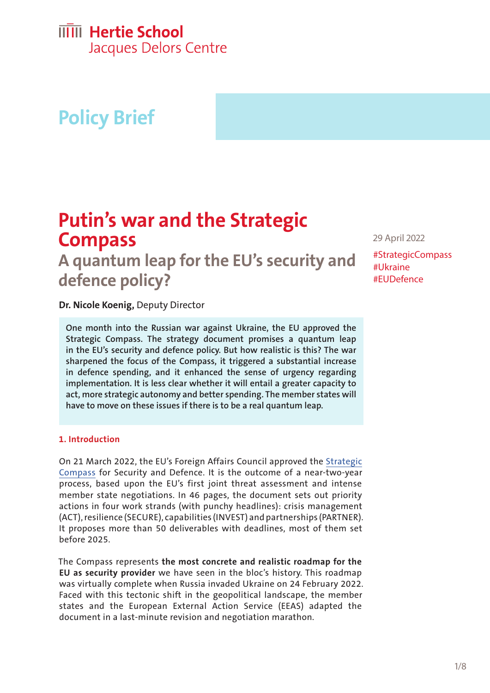# **IIIII** Hertie School

Jacques Delors Centre

# **Policy Brief**

## **Putin's war and the Strategic Compass**

**A quantum leap for the EU's security and defence policy?**

29 April 2022

#StrategicCompass #Ukraine #EUDefence

**Dr. Nicole Koenig,** Deputy Director

**One month into the Russian war against Ukraine, the EU approved the Strategic Compass. The strategy document promises a quantum leap in the EU's security and defence policy. But how realistic is this? The war sharpened the focus of the Compass, it triggered a substantial increase in defence spending, and it enhanced the sense of urgency regarding implementation. It is less clear whether it will entail a greater capacity to act, more strategic autonomy and better spending. The member states will have to move on these issues if there is to be a real quantum leap.**

#### **1. Introduction**

On 21 March 2022, the EU's Foreign Affairs Council approved the [Strategic](https://data.consilium.europa.eu/doc/document/ST-7371-2022-INIT/en/pdf)  [Compass](https://data.consilium.europa.eu/doc/document/ST-7371-2022-INIT/en/pdf) for Security and Defence. It is the outcome of a near-two-year process, based upon the EU's first joint threat assessment and intense member state negotiations. In 46 pages, the document sets out priority actions in four work strands (with punchy headlines): crisis management (ACT), resilience (SECURE), capabilities (INVEST) and partnerships (PARTNER). It proposes more than 50 deliverables with deadlines, most of them set before 2025.

The Compass represents **the most concrete and realistic roadmap for the EU as security provider** we have seen in the bloc's history. This roadmap was virtually complete when Russia invaded Ukraine on 24 February 2022. Faced with this tectonic shift in the geopolitical landscape, the member states and the European External Action Service (EEAS) adapted the document in a last-minute revision and negotiation marathon.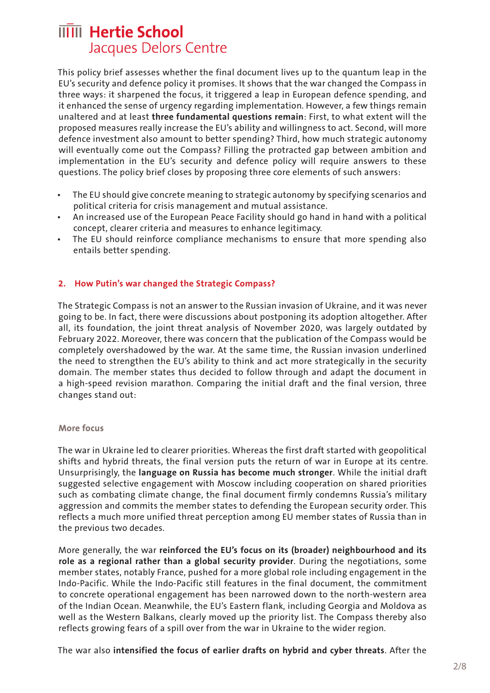This policy brief assesses whether the final document lives up to the quantum leap in the EU's security and defence policy it promises. It shows that the war changed the Compass in three ways: it sharpened the focus, it triggered a leap in European defence spending, and it enhanced the sense of urgency regarding implementation. However, a few things remain unaltered and at least **three fundamental questions remain**: First, to what extent will the proposed measures really increase the EU's ability and willingness to act. Second, will more defence investment also amount to better spending? Third, how much strategic autonomy will eventually come out the Compass? Filling the protracted gap between ambition and implementation in the EU's security and defence policy will require answers to these questions. The policy brief closes by proposing three core elements of such answers:

- The EU should give concrete meaning to strategic autonomy by specifying scenarios and political criteria for crisis management and mutual assistance.
- An increased use of the European Peace Facility should go hand in hand with a political concept, clearer criteria and measures to enhance legitimacy.
- The EU should reinforce compliance mechanisms to ensure that more spending also entails better spending.

#### **2. How Putin's war changed the Strategic Compass?**

The Strategic Compass is not an answer to the Russian invasion of Ukraine, and it was never going to be. In fact, there were discussions about postponing its adoption altogether. After all, its foundation, the joint threat analysis of November 2020, was largely outdated by February 2022. Moreover, there was concern that the publication of the Compass would be completely overshadowed by the war. At the same time, the Russian invasion underlined the need to strengthen the EU's ability to think and act more strategically in the security domain. The member states thus decided to follow through and adapt the document in a high-speed revision marathon. Comparing the initial draft and the final version, three changes stand out:

#### **More focus**

The war in Ukraine led to clearer priorities. Whereas the first draft started with geopolitical shifts and hybrid threats, the final version puts the return of war in Europe at its centre. Unsurprisingly, the **language on Russia has become much stronger**. While the initial draft suggested selective engagement with Moscow including cooperation on shared priorities such as combating climate change, the final document firmly condemns Russia's military aggression and commits the member states to defending the European security order. This reflects a much more unified threat perception among EU member states of Russia than in the previous two decades.

More generally, the war **reinforced the EU's focus on its (broader) neighbourhood and its role as a regional rather than a global security provider**. During the negotiations, some member states, notably France, pushed for a more global role including engagement in the Indo-Pacific. While the Indo-Pacific still features in the final document, the commitment to concrete operational engagement has been narrowed down to the north-western area of the Indian Ocean. Meanwhile, the EU's Eastern flank, including Georgia and Moldova as well as the Western Balkans, clearly moved up the priority list. The Compass thereby also reflects growing fears of a spill over from the war in Ukraine to the wider region.

The war also **intensified the focus of earlier drafts on hybrid and cyber threats**. After the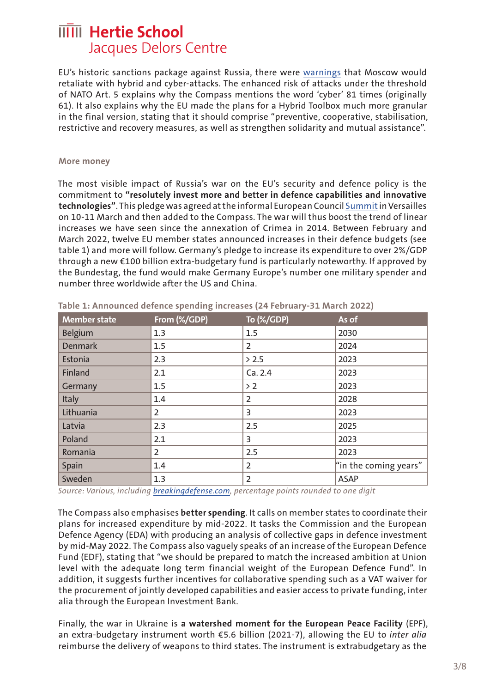EU's historic sanctions package against Russia, there were [warnings](https://hbr.org/2022/02/the-cybersecurity-risks-of-an-escalating-russia-ukraine-conflict) that Moscow would retaliate with hybrid and cyber-attacks. The enhanced risk of attacks under the threshold of NATO Art. 5 explains why the Compass mentions the word 'cyber' 81 times (originally 61). It also explains why the EU made the plans for a Hybrid Toolbox much more granular in the final version, stating that it should comprise "preventive, cooperative, stabilisation, restrictive and recovery measures, as well as strengthen solidarity and mutual assistance".

#### **More money**

The most visible impact of Russia's war on the EU's security and defence policy is the commitment to **"resolutely invest more and better in defence capabilities and innovative technologies"**. This pledge was agreed at the informal European Council [Summit](https://www.consilium.europa.eu/en/press/press-releases/2022/03/11/the-versailles-declaration-10-11-03-2022/) in Versailles on 10-11 March and then added to the Compass. The war will thus boost the trend of linear increases we have seen since the annexation of Crimea in 2014. Between February and March 2022, twelve EU member states announced increases in their defence budgets (see table 1) and more will follow. Germany's pledge to increase its expenditure to over 2%/GDP through a new €100 billion extra-budgetary fund is particularly noteworthy. If approved by the Bundestag, the fund would make Germany Europe's number one military spender and number three worldwide after the US and China.

| <b>Member state</b> | From (%/GDP)   | To (%/GDP)     | As of                 |
|---------------------|----------------|----------------|-----------------------|
| Belgium             | 1.3            | 1.5            | 2030                  |
| <b>Denmark</b>      | 1.5            | $\overline{2}$ | 2024                  |
| Estonia             | 2.3            | $> 2.5$        | 2023                  |
| Finland             | 2.1            | Ca. 2.4        | 2023                  |
| Germany             | 1.5            | > 2            | 2023                  |
| Italy               | 1.4            | 2              | 2028                  |
| Lithuania           | 2              | 3              | 2023                  |
| Latvia              | 2.3            | 2.5            | 2025                  |
| Poland              | 2.1            | 3              | 2023                  |
| Romania             | $\overline{2}$ | 2.5            | 2023                  |
| Spain               | 1.4            | $\overline{2}$ | "in the coming years" |
| Sweden              | 1.3            | $\overline{2}$ | <b>ASAP</b>           |

**Table 1: Announced defence spending increases (24 February-31 March 2022)**

*Source: Various, including [breakingdefense.com,](https://breakingdefense.com/2022/03/seven-european-nations-have-increased-defense-budgets-in-one-month-who-will-be-next/) percentage points rounded to one digit*

The Compass also emphasises **better spending**. It calls on member states to coordinate their plans for increased expenditure by mid-2022. It tasks the Commission and the European Defence Agency (EDA) with producing an analysis of collective gaps in defence investment by mid-May 2022. The Compass also vaguely speaks of an increase of the European Defence Fund (EDF), stating that "we should be prepared to match the increased ambition at Union level with the adequate long term financial weight of the European Defence Fund". In addition, it suggests further incentives for collaborative spending such as a VAT waiver for the procurement of jointly developed capabilities and easier access to private funding, inter alia through the European Investment Bank.

Finally, the war in Ukraine is **a watershed moment for the European Peace Facility** (EPF), an extra-budgetary instrument worth €5.6 billion (2021-7), allowing the EU to *inter alia*  reimburse the delivery of weapons to third states. The instrument is extrabudgetary as the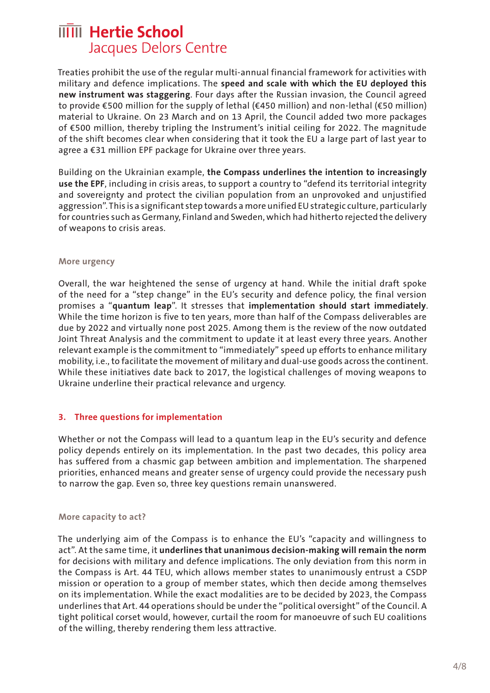Treaties prohibit the use of the regular multi-annual financial framework for activities with military and defence implications. The **speed and scale with which the EU deployed this new instrument was staggering**. Four days after the Russian invasion, the Council agreed to provide €500 million for the supply of lethal (€450 million) and non-lethal (€50 million) material to Ukraine. On 23 March and on 13 April, the Council added two more packages of €500 million, thereby tripling the Instrument's initial ceiling for 2022. The magnitude of the shift becomes clear when considering that it took the EU a large part of last year to agree a €31 million EPF package for Ukraine over three years.

Building on the Ukrainian example, **the Compass underlines the intention to increasingly use the EPF**, including in crisis areas, to support a country to "defend its territorial integrity and sovereignty and protect the civilian population from an unprovoked and unjustified aggression". This is a significant step towards a more unified EU strategic culture, particularly for countries such as Germany, Finland and Sweden, which had hitherto rejected the delivery of weapons to crisis areas.

#### **More urgency**

Overall, the war heightened the sense of urgency at hand. While the initial draft spoke of the need for a "step change" in the EU's security and defence policy, the final version promises a "**quantum leap**". It stresses that **implementation should start immediately**. While the time horizon is five to ten years, more than half of the Compass deliverables are due by 2022 and virtually none post 2025. Among them is the review of the now outdated Joint Threat Analysis and the commitment to update it at least every three years. Another relevant example is the commitment to "immediately" speed up efforts to enhance military mobility, i.e., to facilitate the movement of military and dual-use goods across the continent. While these initiatives date back to 2017, the logistical challenges of moving weapons to Ukraine underline their practical relevance and urgency.

#### **3. Three questions for implementation**

Whether or not the Compass will lead to a quantum leap in the EU's security and defence policy depends entirely on its implementation. In the past two decades, this policy area has suffered from a chasmic gap between ambition and implementation. The sharpened priorities, enhanced means and greater sense of urgency could provide the necessary push to narrow the gap. Even so, three key questions remain unanswered.

#### **More capacity to act?**

The underlying aim of the Compass is to enhance the EU's "capacity and willingness to act". At the same time, it **underlines that unanimous decision-making will remain the norm**  for decisions with military and defence implications. The only deviation from this norm in the Compass is Art. 44 TEU, which allows member states to unanimously entrust a CSDP mission or operation to a group of member states, which then decide among themselves on its implementation. While the exact modalities are to be decided by 2023, the Compass underlines that Art. 44 operations should be under the "political oversight" of the Council. A tight political corset would, however, curtail the room for manoeuvre of such EU coalitions of the willing, thereby rendering them less attractive.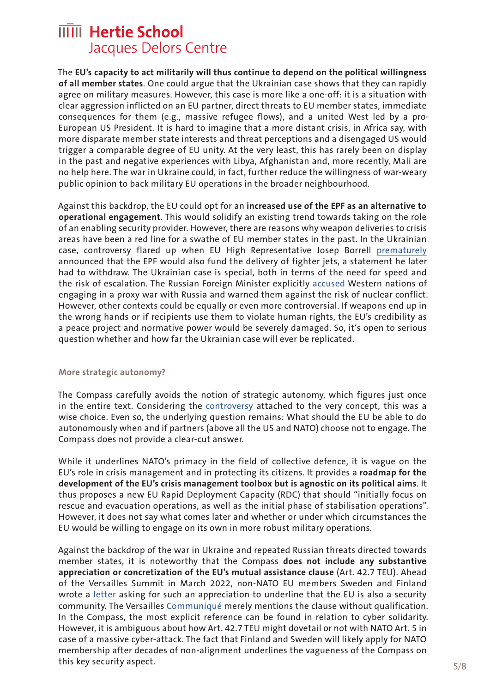The **EU's capacity to act militarily will thus continue to depend on the political willingness of all member states**. One could argue that the Ukrainian case shows that they can rapidly agree on military measures. However, this case is more like a one-off: it is a situation with clear aggression inflicted on an EU partner, direct threats to EU member states, immediate consequences for them (e.g., massive refugee flows), and a united West led by a pro-European US President. It is hard to imagine that a more distant crisis, in Africa say, with more disparate member state interests and threat perceptions and a disengaged US would trigger a comparable degree of EU unity. At the very least, this has rarely been on display in the past and negative experiences with Libya, Afghanistan and, more recently, Mali are no help here. The war in Ukraine could, in fact, further reduce the willingness of war-weary public opinion to back military EU operations in the broader neighbourhood.

Against this backdrop, the EU could opt for an **increased use of the EPF as an alternative to operational engagement**. This would solidify an existing trend towards taking on the role of an enabling security provider. However, there are reasons why weapon deliveries to crisis areas have been a red line for a swathe of EU member states in the past. In the Ukrainian case, controversy flared up when EU High Representative Josep Borrell [prematurely](https://www.politico.eu/article/eu-borrell-military-spend-momentum-false-step/)  announced that the EPF would also fund the delivery of fighter jets, a statement he later had to withdraw. The Ukrainian case is special, both in terms of the need for speed and the risk of escalation. The Russian Foreign Minister explicitly [accused](https://www.reuters.com/world/russia-says-western-weapons-ukraine-legitimate-targets-russian-military-2022-04-25/) Western nations of engaging in a proxy war with Russia and warned them against the risk of nuclear conflict. However, other contexts could be equally or even more controversial. If weapons end up in the wrong hands or if recipients use them to violate human rights, the EU's credibility as a peace project and normative power would be severely damaged. So, it's open to serious question whether and how far the Ukrainian case will ever be replicated.

#### **More strategic autonomy?**

The Compass carefully avoids the notion of strategic autonomy, which figures just once in the entire text. Considering the [controversy](https://www.delorscentre.eu/en/publications/detail/publication/default-f0d46889ce) attached to the very concept, this was a wise choice. Even so, the underlying question remains: What should the EU be able to do autonomously when and if partners (above all the US and NATO) choose not to engage. The Compass does not provide a clear-cut answer.

While it underlines NATO's primacy in the field of collective defence, it is vague on the EU's role in crisis management and in protecting its citizens. It provides a **roadmap for the development of the EU's crisis management toolbox but is agnostic on its political aims**. It thus proposes a new EU Rapid Deployment Capacity (RDC) that should "initially focus on rescue and evacuation operations, as well as the initial phase of stabilisation operations". However, it does not say what comes later and whether or under which circumstances the EU would be willing to engage on its own in more robust military operations.

Against the backdrop of the war in Ukraine and repeated Russian threats directed towards member states, it is noteworthy that the Compass **does not include any substantive appreciation or concretization of the EU's mutual assistance clause** (Art. 42.7 TEU). Ahead of the Versailles Summit in March 2022, non-NATO EU members Sweden and Finland wrote a [letter](https://valtioneuvosto.fi/en/-/10616/prime-ministers-of-finland-and-sweden-stress-role-of-eu-as-security-provider) asking for such an appreciation to underline that the EU is also a security community. The Versailles [Communiqué](https://www.consilium.europa.eu/en/press/press-releases/2022/03/11/the-versailles-declaration-10-11-03-2022/) merely mentions the clause without qualification. In the Compass, the most explicit reference can be found in relation to cyber solidarity. However, it is ambiguous about how Art. 42.7 TEU might dovetail or not with NATO Art. 5 in case of a massive cyber-attack. The fact that Finland and Sweden will likely apply for NATO membership after decades of non-alignment underlines the vagueness of the Compass on this key security aspect.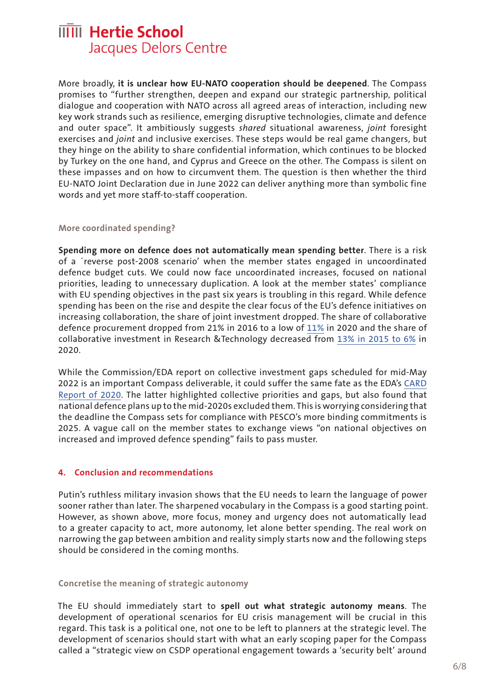More broadly, **it is unclear how EU-NATO cooperation should be deepened**. The Compass promises to "further strengthen, deepen and expand our strategic partnership, political dialogue and cooperation with NATO across all agreed areas of interaction, including new key work strands such as resilience, emerging disruptive technologies, climate and defence and outer space". It ambitiously suggests *shared* situational awareness, *joint* foresight exercises and *joint* and inclusive exercises. These steps would be real game changers, but they hinge on the ability to share confidential information, which continues to be blocked by Turkey on the one hand, and Cyprus and Greece on the other. The Compass is silent on these impasses and on how to circumvent them. The question is then whether the third EU-NATO Joint Declaration due in June 2022 can deliver anything more than symbolic fine words and yet more staff-to-staff cooperation.

#### **More coordinated spending?**

**Spending more on defence does not automatically mean spending better**. There is a risk of a ´reverse post-2008 scenario' when the member states engaged in uncoordinated defence budget cuts. We could now face uncoordinated increases, focused on national priorities, leading to unnecessary duplication. A look at the member states' compliance with EU spending objectives in the past six years is troubling in this regard. While defence spending has been on the rise and despite the clear focus of the EU's defence initiatives on increasing collaboration, the share of joint investment dropped. The share of collaborative defence procurement dropped from 21% in 2016 to a low of [11%](https://eda.europa.eu/docs/default-source/brochures/eda---defence-data-report-2019-2020.pdf) in 2020 and the share of collaborative investment in Research &Technology decreased from [13% in 2015 to 6%](https://eda.europa.eu/docs/default-source/brochures/eda---defence-data-report-2019-2020.pdf) in 2020.

While the Commission/EDA report on collective investment gaps scheduled for mid-May 2022 is an important Compass deliverable, it could suffer the same fate as the EDA's [CARD](https://eda.europa.eu/docs/default-source/reports/card-2020-executive-summary-report.pdf)  [Report of 2020](https://eda.europa.eu/docs/default-source/reports/card-2020-executive-summary-report.pdf). The latter highlighted collective priorities and gaps, but also found that national defence plans up to the mid-2020s excluded them. This is worrying considering that the deadline the Compass sets for compliance with PESCO's more binding commitments is 2025. A vague call on the member states to exchange views "on national objectives on increased and improved defence spending" fails to pass muster.

#### **4. Conclusion and recommendations**

Putin's ruthless military invasion shows that the EU needs to learn the language of power sooner rather than later. The sharpened vocabulary in the Compass is a good starting point. However, as shown above, more focus, money and urgency does not automatically lead to a greater capacity to act, more autonomy, let alone better spending. The real work on narrowing the gap between ambition and reality simply starts now and the following steps should be considered in the coming months.

#### **Concretise the meaning of strategic autonomy**

The EU should immediately start to **spell out what strategic autonomy means**. The development of operational scenarios for EU crisis management will be crucial in this regard. This task is a political one, not one to be left to planners at the strategic level. The development of scenarios should start with what an early scoping paper for the Compass called a "strategic view on CSDP operational engagement towards a 'security belt' around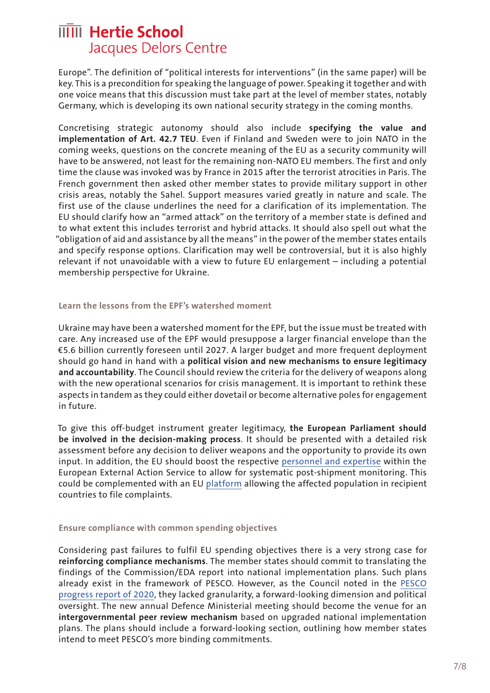Europe". The definition of "political interests for interventions" (in the same paper) will be key. This is a precondition for speaking the language of power. Speaking it together and with one voice means that this discussion must take part at the level of member states, notably Germany, which is developing its own national security strategy in the coming months.

Concretising strategic autonomy should also include **specifying the value and implementation of Art. 42.7 TEU**. Even if Finland and Sweden were to join NATO in the coming weeks, questions on the concrete meaning of the EU as a security community will have to be answered, not least for the remaining non-NATO EU members. The first and only time the clause was invoked was by France in 2015 after the terrorist atrocities in Paris. The French government then asked other member states to provide military support in other crisis areas, notably the Sahel. Support measures varied greatly in nature and scale. The first use of the clause underlines the need for a clarification of its implementation. The EU should clarify how an "armed attack" on the territory of a member state is defined and to what extent this includes terrorist and hybrid attacks. It should also spell out what the "obligation of aid and assistance by all the means" in the power of the member states entails and specify response options. Clarification may well be controversial, but it is also highly relevant if not unavoidable with a view to future EU enlargement – including a potential membership perspective for Ukraine.

#### **Learn the lessons from the EPF's watershed moment**

Ukraine may have been a watershed moment for the EPF, but the issue must be treated with care. Any increased use of the EPF would presuppose a larger financial envelope than the €5.6 billion currently foreseen until 2027. A larger budget and more frequent deployment should go hand in hand with a **political vision and new mechanisms to ensure legitimacy and accountability**. The Council should review the criteria for the delivery of weapons along with the new operational scenarios for crisis management. It is important to rethink these aspects in tandem as they could either dovetail or become alternative poles for engagement in future.

To give this off-budget instrument greater legitimacy, **the European Parliament should be involved in the decision-making process**. It should be presented with a detailed risk assessment before any decision to deliver weapons and the opportunity to provide its own input. In addition, the EU should boost the respective [personnel and expertise](https://www.investigate-europe.eu/en/2022/european-peace-facility-controversy/) within the European External Action Service to allow for systematic post-shipment monitoring. This could be complemented with an EU [platform](https://www.bicc.de/uploads/tx_bicctools/BICC_Policy_Brief_06_2020_e.pdf) allowing the affected population in recipient countries to file complaints.

#### **Ensure compliance with common spending objectives**

Considering past failures to fulfil EU spending objectives there is a very strong case for **reinforcing compliance mechanisms**. The member states should commit to translating the findings of the Commission/EDA report into national implementation plans. Such plans already exist in the framework of PESCO. However, as the Council noted in the [PESCO](https://www.pesco.europa.eu/wp-content/uploads/2020/07/2020-06-15-Council-Recommendation-assessing-the-progress-made-to-fulfil-commitments-in-PESCO.pdf)  [progress report of 2020](https://www.pesco.europa.eu/wp-content/uploads/2020/07/2020-06-15-Council-Recommendation-assessing-the-progress-made-to-fulfil-commitments-in-PESCO.pdf), they lacked granularity, a forward-looking dimension and political oversight. The new annual Defence Ministerial meeting should become the venue for an **intergovernmental peer review mechanism** based on upgraded national implementation plans. The plans should include a forward-looking section, outlining how member states intend to meet PESCO's more binding commitments.